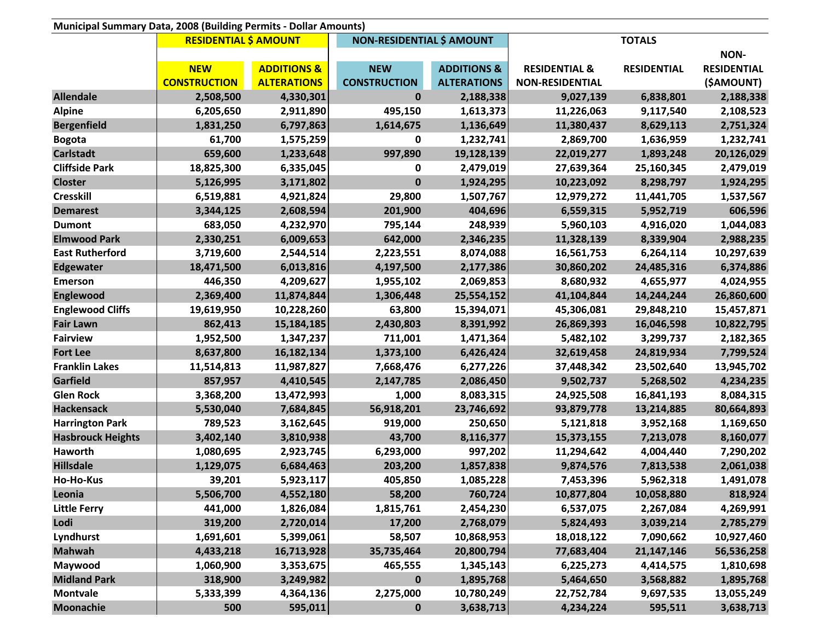| Municipal Summary Data, 2008 (Building Permits - Dollar Amounts) |                              |                        |                                  |                        |                          |                    |                    |
|------------------------------------------------------------------|------------------------------|------------------------|----------------------------------|------------------------|--------------------------|--------------------|--------------------|
|                                                                  | <b>RESIDENTIAL \$ AMOUNT</b> |                        | <b>NON-RESIDENTIAL \$ AMOUNT</b> |                        | <b>TOTALS</b>            |                    |                    |
|                                                                  |                              |                        |                                  |                        |                          |                    | <b>NON-</b>        |
|                                                                  | <b>NEW</b>                   | <b>ADDITIONS &amp;</b> | <b>NEW</b>                       | <b>ADDITIONS &amp;</b> | <b>RESIDENTIAL &amp;</b> | <b>RESIDENTIAL</b> | <b>RESIDENTIAL</b> |
|                                                                  | <b>CONSTRUCTION</b>          | <b>ALTERATIONS</b>     | <b>CONSTRUCTION</b>              | <b>ALTERATIONS</b>     | <b>NON-RESIDENTIAL</b>   |                    | (\$AMOUNT)         |
| <b>Allendale</b>                                                 | 2,508,500                    | 4,330,301              | $\bf{0}$                         | 2,188,338              | 9,027,139                | 6,838,801          | 2,188,338          |
| <b>Alpine</b>                                                    | 6,205,650                    | 2,911,890              | 495,150                          | 1,613,373              | 11,226,063               | 9,117,540          | 2,108,523          |
| <b>Bergenfield</b>                                               | 1,831,250                    | 6,797,863              | 1,614,675                        | 1,136,649              | 11,380,437               | 8,629,113          | 2,751,324          |
| <b>Bogota</b>                                                    | 61,700                       | 1,575,259              | 0                                | 1,232,741              | 2,869,700                | 1,636,959          | 1,232,741          |
| <b>Carlstadt</b>                                                 | 659,600                      | 1,233,648              | 997,890                          | 19,128,139             | 22,019,277               | 1,893,248          | 20,126,029         |
| <b>Cliffside Park</b>                                            | 18,825,300                   | 6,335,045              | 0                                | 2,479,019              | 27,639,364               | 25,160,345         | 2,479,019          |
| <b>Closter</b>                                                   | 5,126,995                    | 3,171,802              | $\mathbf 0$                      | 1,924,295              | 10,223,092               | 8,298,797          | 1,924,295          |
| <b>Cresskill</b>                                                 | 6,519,881                    | 4,921,824              | 29,800                           | 1,507,767              | 12,979,272               | 11,441,705         | 1,537,567          |
| <b>Demarest</b>                                                  | 3,344,125                    | 2,608,594              | 201,900                          | 404,696                | 6,559,315                | 5,952,719          | 606,596            |
| <b>Dumont</b>                                                    | 683,050                      | 4,232,970              | 795,144                          | 248,939                | 5,960,103                | 4,916,020          | 1,044,083          |
| <b>Elmwood Park</b>                                              | 2,330,251                    | 6,009,653              | 642,000                          | 2,346,235              | 11,328,139               | 8,339,904          | 2,988,235          |
| <b>East Rutherford</b>                                           | 3,719,600                    | 2,544,514              | 2,223,551                        | 8,074,088              | 16,561,753               | 6,264,114          | 10,297,639         |
| <b>Edgewater</b>                                                 | 18,471,500                   | 6,013,816              | 4,197,500                        | 2,177,386              | 30,860,202               | 24,485,316         | 6,374,886          |
| <b>Emerson</b>                                                   | 446,350                      | 4,209,627              | 1,955,102                        | 2,069,853              | 8,680,932                | 4,655,977          | 4,024,955          |
| <b>Englewood</b>                                                 | 2,369,400                    | 11,874,844             | 1,306,448                        | 25,554,152             | 41,104,844               | 14,244,244         | 26,860,600         |
| <b>Englewood Cliffs</b>                                          | 19,619,950                   | 10,228,260             | 63,800                           | 15,394,071             | 45,306,081               | 29,848,210         | 15,457,871         |
| <b>Fair Lawn</b>                                                 | 862,413                      | 15,184,185             | 2,430,803                        | 8,391,992              | 26,869,393               | 16,046,598         | 10,822,795         |
| <b>Fairview</b>                                                  | 1,952,500                    | 1,347,237              | 711,001                          | 1,471,364              | 5,482,102                | 3,299,737          | 2,182,365          |
| <b>Fort Lee</b>                                                  | 8,637,800                    | 16,182,134             | 1,373,100                        | 6,426,424              | 32,619,458               | 24,819,934         | 7,799,524          |
| <b>Franklin Lakes</b>                                            | 11,514,813                   | 11,987,827             | 7,668,476                        | 6,277,226              | 37,448,342               | 23,502,640         | 13,945,702         |
| Garfield                                                         | 857,957                      | 4,410,545              | 2,147,785                        | 2,086,450              | 9,502,737                | 5,268,502          | 4,234,235          |
| <b>Glen Rock</b>                                                 | 3,368,200                    | 13,472,993             | 1,000                            | 8,083,315              | 24,925,508               | 16,841,193         | 8,084,315          |
| <b>Hackensack</b>                                                | 5,530,040                    | 7,684,845              | 56,918,201                       | 23,746,692             | 93,879,778               | 13,214,885         | 80,664,893         |
| <b>Harrington Park</b>                                           | 789,523                      | 3,162,645              | 919,000                          | 250,650                | 5,121,818                | 3,952,168          | 1,169,650          |
| <b>Hasbrouck Heights</b>                                         | 3,402,140                    | 3,810,938              | 43,700                           | 8,116,377              | 15,373,155               | 7,213,078          | 8,160,077          |
| Haworth                                                          | 1,080,695                    | 2,923,745              | 6,293,000                        | 997,202                | 11,294,642               | 4,004,440          | 7,290,202          |
| <b>Hillsdale</b>                                                 | 1,129,075                    | 6,684,463              | 203,200                          | 1,857,838              | 9,874,576                | 7,813,538          | 2,061,038          |
| Ho-Ho-Kus                                                        | 39,201                       | 5,923,117              | 405,850                          | 1,085,228              | 7,453,396                | 5,962,318          | 1,491,078          |
| Leonia                                                           | 5,506,700                    | 4,552,180              | 58,200                           | 760,724                | 10,877,804               | 10,058,880         | 818,924            |
| <b>Little Ferry</b>                                              | 441,000                      | 1,826,084              | 1,815,761                        | 2,454,230              | 6,537,075                | 2,267,084          | 4,269,991          |
| Lodi                                                             | 319,200                      | 2,720,014              | 17,200                           | 2,768,079              | 5,824,493                | 3,039,214          | 2,785,279          |
| Lyndhurst                                                        | 1,691,601                    | 5,399,061              | 58,507                           | 10,868,953             | 18,018,122               | 7,090,662          | 10,927,460         |
| <b>Mahwah</b>                                                    | 4,433,218                    | 16,713,928             | 35,735,464                       | 20,800,794             | 77,683,404               | 21, 147, 146       | 56,536,258         |
| Maywood                                                          | 1,060,900                    | 3,353,675              | 465,555                          | 1,345,143              | 6,225,273                | 4,414,575          | 1,810,698          |
| <b>Midland Park</b>                                              | 318,900                      | 3,249,982              | $\mathbf 0$                      | 1,895,768              | 5,464,650                | 3,568,882          | 1,895,768          |
| <b>Montvale</b>                                                  | 5,333,399                    | 4,364,136              | 2,275,000                        | 10,780,249             | 22,752,784               | 9,697,535          | 13,055,249         |
| <b>Moonachie</b>                                                 | 500                          | 595,011                | 0                                | 3,638,713              | 4,234,224                | 595,511            | 3,638,713          |